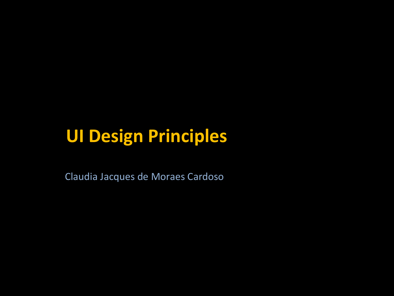Claudia Jacques de Moraes Cardoso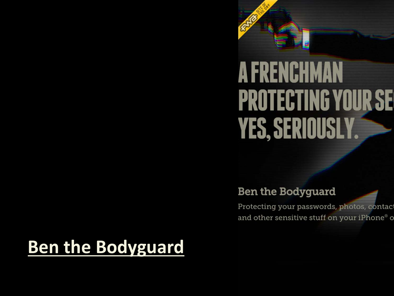# **A FRENCHMAN PROTECTING YOUR SE YES, SERIOUSLY**

#### **Ben the Bodyguard**

Protecting your passwords, photos, contact and other sensitive stuff on your iPhone® o

# **[Ben the Bodyguard](http://benthebodyguard.com/)**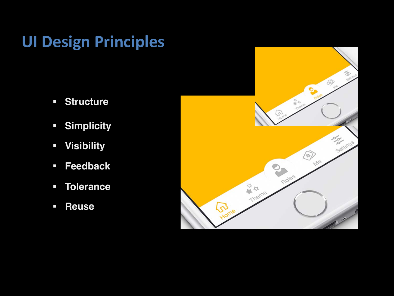- § **Structure**
- § **Simplicity**
- § **Visibility**
- § **Feedback**
- § **Tolerance**
- § **Reuse**

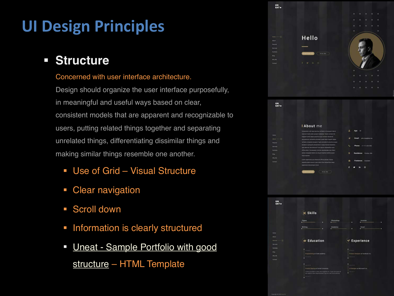#### § **Structure**

#### Concerned with user interface architecture.

Design should organize the user interface purposefully, in meaningful and useful ways based on clear, consistent models that are apparent and recognizable to users, putting related things together and separating unrelated things, differentiating dissimilar things and making similar things resemble one another.

- Use of Grid Visual Structure
- Clear navigation
- § Scroll down
- Information is clearly structured
- § Uneat [Sample Portfolio with good](https://uneat.newdify.com/dark-version/) structure – HTML Template



|                     | <b>I About</b> me                                                       |                                       |                                 |
|---------------------|-------------------------------------------------------------------------|---------------------------------------|---------------------------------|
|                     | Consectenz odd ipsa ducimus ventatis in Guissiam labore                 | А                                     | Age:<br>28                      |
| $-1$                | restiunt modi unde suscipit mulestias. Facere veriam ills:              |                                       |                                 |
| œ<br><b>Require</b> | magnam amet same possimus que incidunt obcascati                        | ٠<br>Fmail:<br>john doe@doe.me        |                                 |
|                     | accusation recends prodent quart Modi inpedit itaque                    |                                       |                                 |
|                     | sentatio voluptate excepturi fugit relolendia Ea ducimus quasi:         |                                       |                                 |
| <b>Tervices</b>     | excepturi quiaquam perspiciatis in segui Eveniet Standitiis             | x.                                    | <b>Phone:</b><br>+1-111-222-333 |
|                     | less tatemen iste datomen? Eus grazm estuptatibus quia                  |                                       |                                 |
| Portfolio           | officia polo! Consequenzi minima republichilar nam libera               |                                       |                                 |
| -                   | abluta voluntate Debitra ex aliquid musica molitia ipsam<br>modi masima | $\circ$<br>Residence:<br>Florida, USA |                                 |
| Why Me              |                                                                         |                                       |                                 |
| Contact             | Liewin aspertows puls deserved officia placear. Soluta                  | ٠<br>Freelance:<br>Available          |                                 |
|                     | expedits takere earunt lusts nems Eiux temporibus segui                 |                                       |                                 |
|                     | asperiores distanervizia terium                                         |                                       |                                 |
|                     |                                                                         | o                                     | ø<br>ł۳                         |
|                     | <b>Dawritisau C</b><br>Hire ma                                          |                                       |                                 |

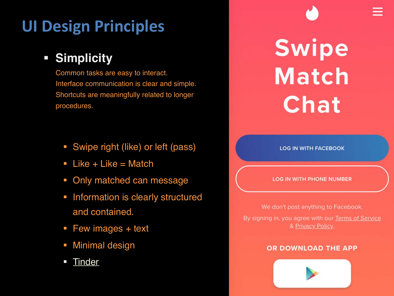#### § **Simplicity**

Common tasks are easy to interact. Interface communication is clear and simple. Shortcuts are meaningfully related to longer procedures..

- **•** Swipe right (like) or left (pass)
- $\blacksquare$  Like + Like = Match
- Only matched can message
- **Information is clearly structured** and contained.
- Few images + text
- § Minimal design
- **[Tinder](https://tinder.com/app/login)**

# **Swipe Match Chat**

**LOG IN WITH FACEBOOK** 

#### **LOG IN WITH PHONE NUMBER**

We don't post anything to Facebook. By signing in, you agree with our Terms of Service & Privacy Policy.

#### OR DOWNLOAD THE APP

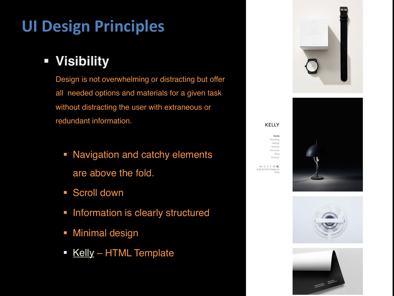#### § **Visibility**

Design is not overwhelming or distracting but offer all needed options and materials for a given task without distracting the user with extraneous or redundant information.

- Navigation and catchy elements are above the fold.
- Scroll down
- **Information is clearly structured**
- **Minimal design**
- **E** [Kelly](http://preview.themeforest.net/item/kelly-minimal-portfolio-blog-html/full_screen_preview/21347996?_ga=2.15879734.1489135664.1519616492-290650119.1515272749) HTML Template





**KELLY** 

Be @ f & B Q Kelly @ 2018. Design by Kelly

Home Branding Design Identity Furniture Blog Contact



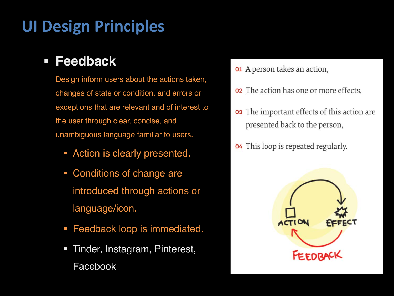#### § **Feedback**

Design inform users about the actions taken, changes of state or condition, and errors or exceptions that are relevant and of interest to the user through clear, concise, and unambiguous language familiar to users.

- **Action is clearly presented.**
- § Conditions of change are introduced through actions or language/icon.
- Feedback loop is immediated.
- § Tinder, Instagram, Pinterest, Facebook
- **01** A person takes an action,
- **o2** The action has one or more effects.
- The important effects of this action are. 03 presented back to the person,
- This loop is repeated regularly. 04

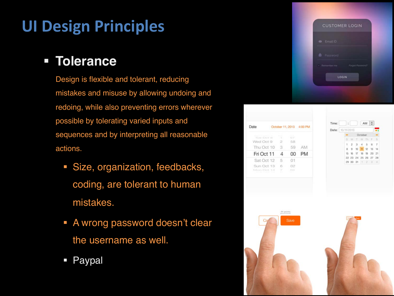#### § **Tolerance**

Design is flexible and tolerant, reducing mistakes and misuse by allowing undoing and redoing, while also preventing errors wherever possible by tolerating varied inputs and sequences and by interpreting all reasonable actions.

- § Size, organization, feedbacks, coding, are tolerant to human mistakes.
- **A wrong password doesn't clear** the username as well.
- **Paypal**







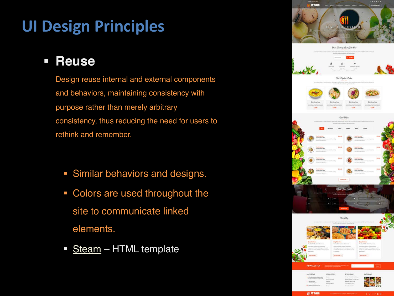#### § **Reuse**

Design reuse internal and external components and behaviors, maintaining consistency with purpose rather than merely arbitrary consistency, thus reducing the need for users to rethink and remember.

- **Similar behaviors and designs.**
- Colors are used throughout the site to communicate linked elements.
- [Steam](http://preview.themeforest.net/item/steam-restaurant-food-drinks-html-5-website-template/full_screen_preview/21212196?_ga=2.47909415.1489135664.1519616492-290650119.1515272749) HTML template

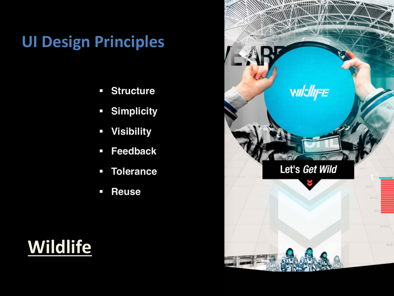- § **Structure**
- § **Simplicity**
- § **Visibility**
- § **Feedback**
- § **Tolerance**
- § **Reuse**

# **[Wildlife](http://whois.wildlife.la/)**